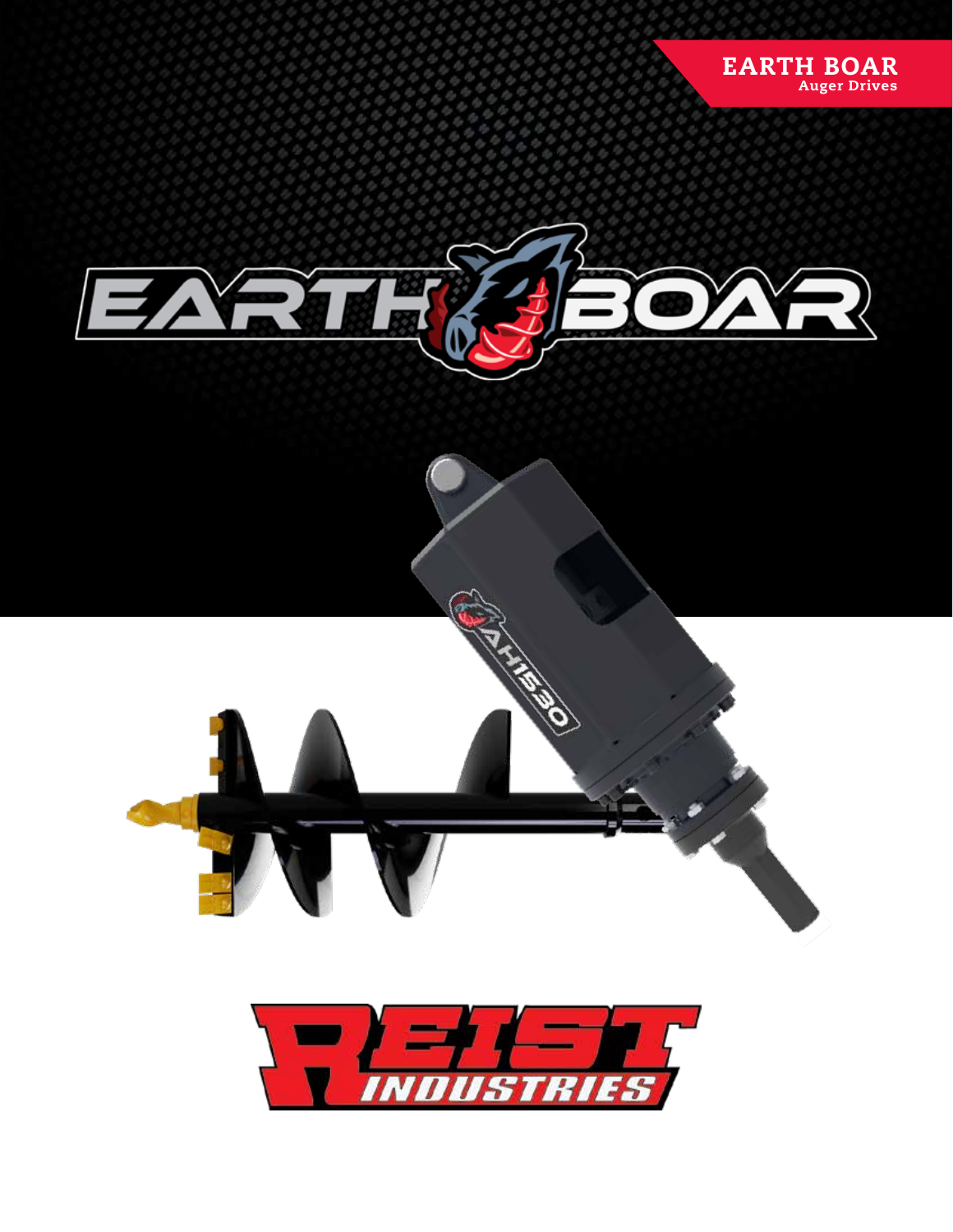



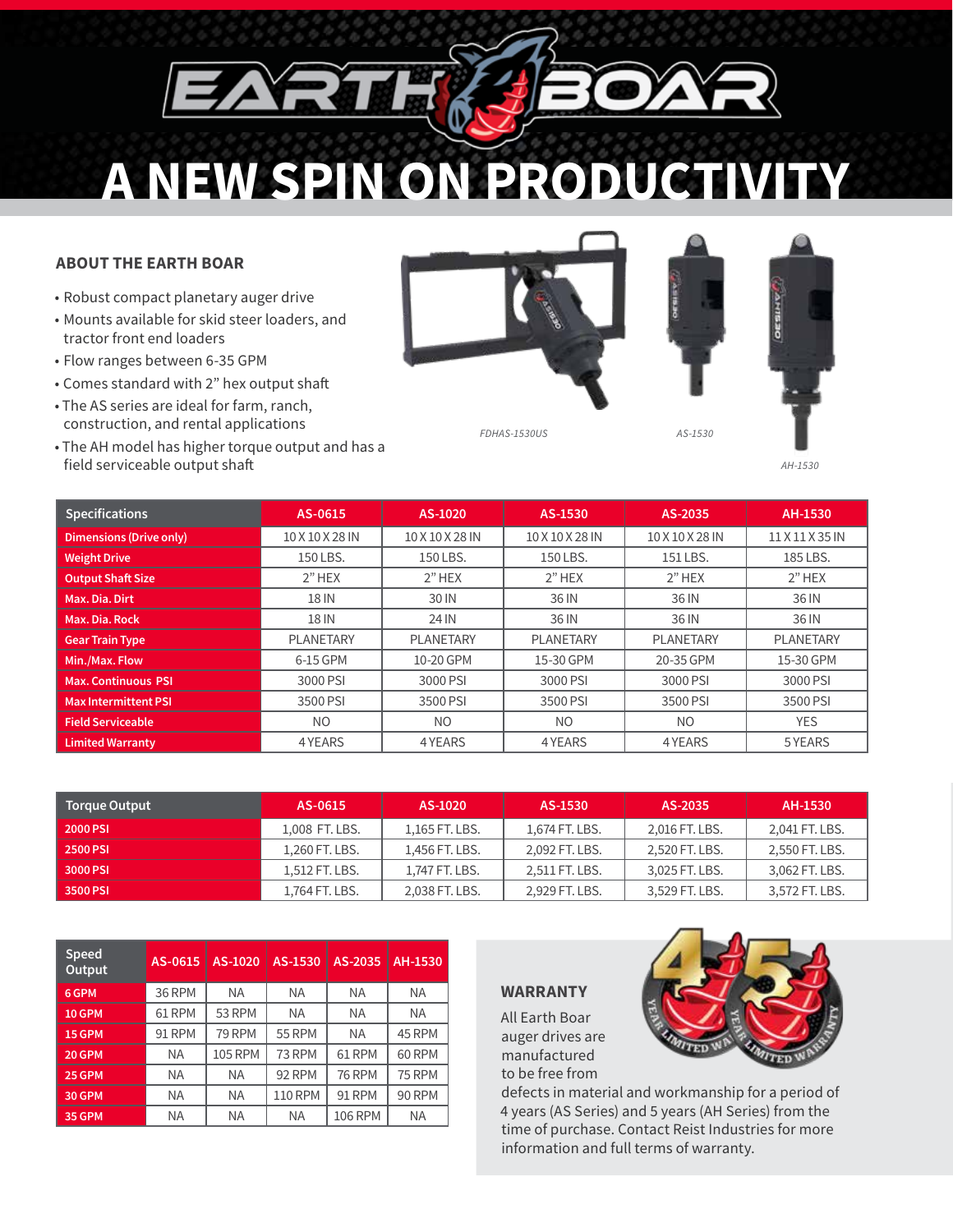# **A NEW SPIN ON PRODUCTIVITY**

## **ABOUT THE EARTH BOAR**

- Robust compact planetary auger drive
- Mounts available for skid steer loaders, and tractor front end loaders
- Flow ranges between 6-35 GPM
- Comes standard with 2" hex output shaft
- The AS series are ideal for farm, ranch, construction, and rental applications
- The AH model has higher torque output and has a field serviceable output shaft



*FDHAS-1530US*



*AS-1530*

*AH-1530*

| <b>Specifications</b>          | AS-0615          | AS-1020          | AS-1530          | AS-2035         | AH-1530          |
|--------------------------------|------------------|------------------|------------------|-----------------|------------------|
| <b>Dimensions (Drive only)</b> | 10 X 10 X 28 IN  | 10 X 10 X 28 IN  | 10 X 10 X 28 IN  | 10 X 10 X 28 IN | 11 X 11 X 35 IN  |
| <b>Weight Drive</b>            | 150 LBS.         | 150 LBS.         | 150 LBS.         | 151 LBS.        | 185 LBS.         |
| <b>Output Shaft Size</b>       | $2"$ HEX         | $2"$ HEX         | $2"$ HEX         | $2"$ HEX        | $2"$ HEX         |
| Max. Dia. Dirt                 | 18 IN            | 30 IN            | 36 IN            | 36 IN           | 36 IN            |
| Max. Dia. Rock                 | 18 IN            | 24 IN            | 36 IN            | 36 IN           | 36 IN            |
| <b>Gear Train Type</b>         | <b>PLANETARY</b> | <b>PLANETARY</b> | <b>PLANETARY</b> | PLANETARY       | <b>PLANETARY</b> |
| Min./Max. Flow                 | 6-15 GPM         | 10-20 GPM        | 15-30 GPM        | 20-35 GPM       | 15-30 GPM        |
| <b>Max. Continuous PSI</b>     | 3000 PSI         | 3000 PSI         | 3000 PSI         | 3000 PSI        | 3000 PSI         |
| <b>Max Intermittent PSI</b>    | 3500 PSI         | 3500 PSI         | 3500 PSI         | 3500 PSI        | 3500 PSI         |
| <b>Field Serviceable</b>       | N <sub>O</sub>   | N <sub>O</sub>   | N <sub>O</sub>   | N <sub>O</sub>  | <b>YES</b>       |
| <b>Limited Warranty</b>        | 4 YEARS          | 4 YEARS          | 4 YEARS          | 4 YEARS         | 5 YEARS          |

| <b>Torque Output</b> | AS-0615        | AS-1020        | AS-1530        | AS-2035        | AH-1530        |
|----------------------|----------------|----------------|----------------|----------------|----------------|
| <b>2000 PSI</b>      | 1,008 FT. LBS. | 1.165 FT. LBS. | 1,674 FT. LBS. | 2,016 FT. LBS. | 2,041 FT. LBS. |
| <b>2500 PSI</b>      | 1,260 FT. LBS. | 1,456 FT. LBS. | 2,092 FT. LBS. | 2,520 FT. LBS. | 2,550 FT. LBS. |
| 3000 PSI             | 1,512 FT. LBS. | 1,747 FT. LBS. | 2,511 FT. LBS. | 3,025 FT. LBS. | 3,062 FT. LBS. |
| 3500 PSI             | 1.764 FT. LBS. | 2.038 FT. LBS. | 2.929 FT. LBS. | 3.529 FT. LBS. | 3,572 FT. LBS. |

| <b>Speed</b><br>Output | AS-0615   | AS-1020        | AS-1530        | AS-2035        | AH-1530       |
|------------------------|-----------|----------------|----------------|----------------|---------------|
| 6 GPM                  | 36 RPM    | <b>NA</b>      | <b>NA</b>      | <b>NA</b>      | <b>NA</b>     |
| <b>10 GPM</b>          | 61 RPM    | 53 RPM         | <b>NA</b>      | <b>NA</b>      | <b>NA</b>     |
| 15 GPM                 | 91 RPM    | 79 RPM         | <b>55 RPM</b>  | <b>NA</b>      | 45 RPM        |
| <b>20 GPM</b>          | <b>NA</b> | <b>105 RPM</b> | 73 RPM         | 61 RPM         | <b>60 RPM</b> |
| <b>25 GPM</b>          | <b>NA</b> | <b>NA</b>      | 92 RPM         | <b>76 RPM</b>  | <b>75 RPM</b> |
| 30 GPM                 | <b>NA</b> | <b>NA</b>      | <b>110 RPM</b> | <b>91 RPM</b>  | <b>90 RPM</b> |
| <b>35 GPM</b>          | <b>NA</b> | <b>NA</b>      | <b>NA</b>      | <b>106 RPM</b> | <b>NA</b>     |

### **WARRANTY**

All Earth Boar auger drives are manufactured to be free from



defects in material and workmanship for a period of 4 years (AS Series) and 5 years (AH Series) from the time of purchase. Contact Reist Industries for more information and full terms of warranty.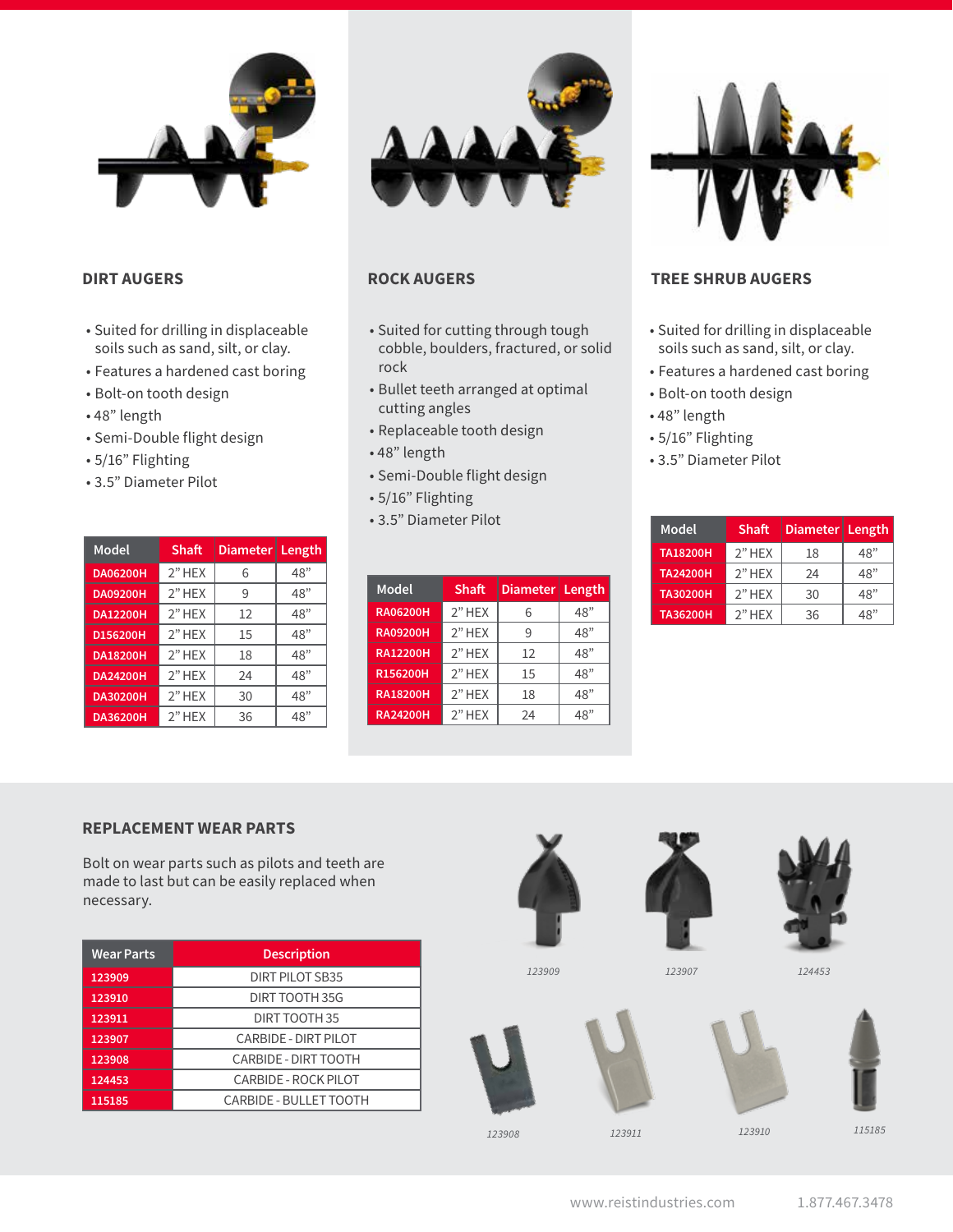

### **DIRT AUGERS**

- Suited for drilling in displaceable soils such as sand, silt, or clay.
- Features a hardened cast boring
- Bolt-on tooth design
- 48" length
- Semi-Double flight design
- 5/16" Flighting
- 3.5" Diameter Pilot

| Model           | Shaft    | <b>Diameter</b> | ∣ Length |
|-----------------|----------|-----------------|----------|
| <b>DA06200H</b> | $2"$ HEX | 6               | 48"      |
| <b>DA09200H</b> | 2"HEX    | 9               | 48"      |
| <b>DA12200H</b> | 2"HEX    | 12              | 48"      |
| D156200H        | 2"HEX    | 15              | 48"      |
| <b>DA18200H</b> | $2"$ HEX | 18              | 48"      |
| <b>DA24200H</b> | $2"$ HEX | 24              | 48"      |
| <b>DA30200H</b> | $2"$ HEX | 30              | 48"      |
| <b>DA36200H</b> | 2"HEX    | 36              | 48"      |



- Suited for cutting through tough cobble, boulders, fractured, or solid rock
- Bullet teeth arranged at optimal cutting angles
- Replaceable tooth design
- 48" length
- Semi-Double flight design
- 5/16" Flighting
- 3.5" Diameter Pilot

| <b>Model</b>    | Shaft    | Diameter   Length |     |
|-----------------|----------|-------------------|-----|
| <b>RA06200H</b> | $2"$ HEX | 6                 | 48" |
| <b>RA09200H</b> | $2"$ HEX | q                 | 48" |
| <b>RA12200H</b> | $2"$ HEX | 12                | 48" |
| R156200H        | $2"$ HEX | 15                | 48" |
| <b>RA18200H</b> | $2"$ HEX | 18                | 48" |
| <b>RA24200H</b> | $2"$ HEX | 24                | 48" |



# **ROCK AUGERS TREE SHRUB AUGERS**

- Suited for drilling in displaceable soils such as sand, silt, or clay.
- Features a hardened cast boring
- Bolt-on tooth design
- 48" length
- 5/16" Flighting
- 3.5" Diameter Pilot

| Model           | <b>Shaft</b> | Diameter   Length |     |
|-----------------|--------------|-------------------|-----|
| <b>TA18200H</b> | $2"$ HEX     | 18                | 48" |
| <b>TA24200H</b> | 2" HEX       | 24                | 48" |
| <b>TA30200H</b> | $2"$ HEX     | 30                | 48" |
| <b>TA36200H</b> | $2"$ HEX     | 36                | 48" |

# **REPLACEMENT WEAR PARTS**

Bolt on wear parts such as pilots and teeth are made to last but can be easily replaced when necessary.

| <b>Wear Parts</b> | <b>Description</b>          |
|-------------------|-----------------------------|
| 123909            | DIRT PILOT SB35             |
| 123910            | DIRT TOOTH 35G              |
| 123911            | DIRT TOOTH 35               |
| 123907            | <b>CARBIDE - DIRT PILOT</b> |
| 123908            | <b>CARBIDE - DIRT TOOTH</b> |
| 124453            | <b>CARBIDE - ROCK PILOT</b> |
| 115185            | CARBIDE - BULLET TOOTH      |











*<sup>115185</sup> <sup>123908</sup> <sup>123911</sup> <sup>123910</sup>*



# *123909 123907 124453*